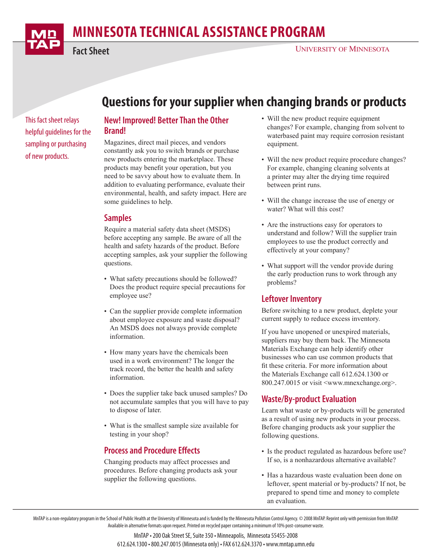# **MINNESOTA TECHNICAL ASSISTANCE PROGRAM**

**Fact Sheet**

## **Questions for your supplier when changing brands or products**

This fact sheet relays helpful guidelines for the sampling or purchasing of new products.

## **New! Improved! Better Than the Other Brand!**

Magazines, direct mail pieces, and vendors constantly ask you to switch brands or purchase new products entering the marketplace. These products may benefit your operation, but you need to be savvy about how to evaluate them. In addition to evaluating performance, evaluate their environmental, health, and safety impact. Here are some guidelines to help.

## **Samples**

Require a material safety data sheet (MSDS) before accepting any sample. Be aware of all the health and safety hazards of the product. Before accepting samples, ask your supplier the following questions.

- What safety precautions should be followed? Does the product require special precautions for employee use?
- Can the supplier provide complete information about employee exposure and waste disposal? An MSDS does not always provide complete information.
- How many years have the chemicals been used in a work environment? The longer the track record, the better the health and safety information.
- Does the supplier take back unused samples? Do not accumulate samples that you will have to pay to dispose of later.
- What is the smallest sample size available for testing in your shop?

## **Process and Procedure Effects**

Changing products may affect processes and procedures. Before changing products ask your supplier the following questions.

- Will the new product require equipment changes? For example, changing from solvent to waterbased paint may require corrosion resistant equipment.
- Will the new product require procedure changes? For example, changing cleaning solvents at a printer may alter the drying time required between print runs.
- Will the change increase the use of energy or water? What will this cost?
- Are the instructions easy for operators to understand and follow? Will the supplier train employees to use the product correctly and effectively at your company?
- What support will the vendor provide during the early production runs to work through any problems?

## **Leftover Inventory**

Before switching to a new product, deplete your current supply to reduce excess inventory.

If you have unopened or unexpired materials, suppliers may buy them back. The Minnesota Materials Exchange can help identify other businesses who can use common products that fit these criteria. For more information about the Materials Exchange call 612.624.1300 or 800.247.0015 or visit <www.mnexchange.org>.

## **Waste/By-product Evaluation**

Learn what waste or by-products will be generated as a result of using new products in your process. Before changing products ask your supplier the following questions.

- Is the product regulated as hazardous before use? If so, is a nonhazardous alternative available?
- Has a hazardous waste evaluation been done on leftover, spent material or by-products? If not, be prepared to spend time and money to complete an evaluation.

MnTAP is a non-regulatory program in the School of Public Health at the University of Minnesota and is funded by the Minnesota Pollution Control Agency. © 2008 MnTAP. Reprint only with permission from MnTAP. Available in alternative formats upon request. Printed on recycled paper containing a minimum of 10% post-consumer waste.